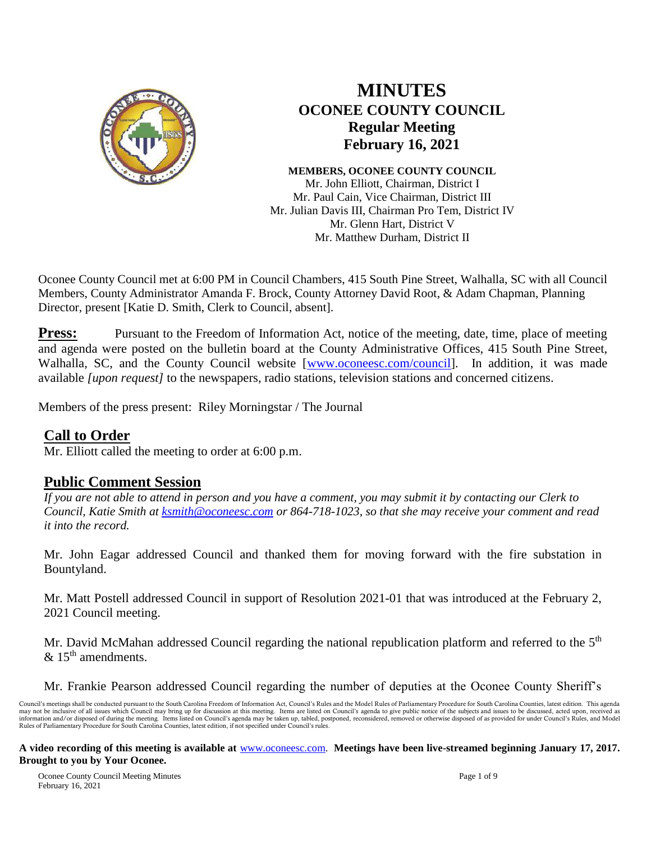

# **MINUTES OCONEE COUNTY COUNCIL Regular Meeting February 16, 2021**

**MEMBERS, OCONEE COUNTY COUNCIL** Mr. John Elliott, Chairman, District I Mr. Paul Cain, Vice Chairman, District III Mr. Julian Davis III, Chairman Pro Tem, District IV Mr. Glenn Hart, District V Mr. Matthew Durham, District II

Oconee County Council met at 6:00 PM in Council Chambers, 415 South Pine Street, Walhalla, SC with all Council Members, County Administrator Amanda F. Brock, County Attorney David Root, & Adam Chapman, Planning Director, present [Katie D. Smith, Clerk to Council, absent].

**Press:** Pursuant to the Freedom of Information Act, notice of the meeting, date, time, place of meeting and agenda were posted on the bulletin board at the County Administrative Offices, 415 South Pine Street, Walhalla, SC, and the County Council website [\[www.oconeesc.com/council\]](http://www.oconeesc.com/council). In addition, it was made available *[upon request]* to the newspapers, radio stations, television stations and concerned citizens.

Members of the press present: Riley Morningstar / The Journal

# **Call to Order**

Mr. Elliott called the meeting to order at 6:00 p.m.

# **Public Comment Session**

*If you are not able to attend in person and you have a comment, you may submit it by contacting our Clerk to Council, Katie Smith at [ksmith@oconeesc.com](mailto:ksmith@oconeesc.com) or 864-718-1023, so that she may receive your comment and read it into the record.* 

Mr. John Eagar addressed Council and thanked them for moving forward with the fire substation in Bountyland.

Mr. Matt Postell addressed Council in support of Resolution 2021-01 that was introduced at the February 2, 2021 Council meeting.

Mr. David McMahan addressed Council regarding the national republication platform and referred to the  $5<sup>th</sup>$  $& 15<sup>th</sup>$  amendments.

Mr. Frankie Pearson addressed Council regarding the number of deputies at the Oconee County Sheriff's

Council's meetings shall be conducted pursuant to the South Carolina Freedom of Information Act, Council's Rules and the Model Rules of Parliamentary Procedure for South Carolina Counties, latest edition. This agenda may not be inclusive of all issues which Council may bring up for discussion at this meeting. Items are listed on Council's agenda to give public notice of the subjects and issues to be discussed, acted upon, received as i Rules of Parliamentary Procedure for South Carolina Counties, latest edition, if not specified under Council's rules.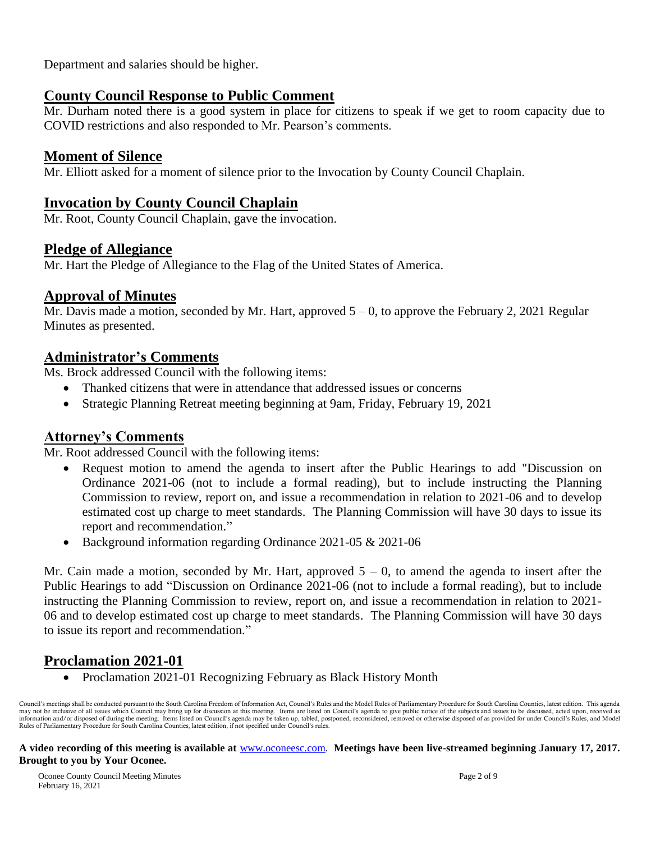Department and salaries should be higher.

# **County Council Response to Public Comment**

Mr. Durham noted there is a good system in place for citizens to speak if we get to room capacity due to COVID restrictions and also responded to Mr. Pearson's comments.

# **Moment of Silence**

Mr. Elliott asked for a moment of silence prior to the Invocation by County Council Chaplain.

# **Invocation by County Council Chaplain**

Mr. Root, County Council Chaplain, gave the invocation.

# **Pledge of Allegiance**

Mr. Hart the Pledge of Allegiance to the Flag of the United States of America.

# **Approval of Minutes**

Mr. Davis made a motion, seconded by Mr. Hart, approved  $5 - 0$ , to approve the February 2, 2021 Regular Minutes as presented.

# **Administrator's Comments**

Ms. Brock addressed Council with the following items:

- Thanked citizens that were in attendance that addressed issues or concerns
- Strategic Planning Retreat meeting beginning at 9am, Friday, February 19, 2021

# **Attorney's Comments**

Mr. Root addressed Council with the following items:

- Request motion to amend the agenda to insert after the Public Hearings to add "Discussion on Ordinance 2021-06 (not to include a formal reading), but to include instructing the Planning Commission to review, report on, and issue a recommendation in relation to 2021-06 and to develop estimated cost up charge to meet standards. The Planning Commission will have 30 days to issue its report and recommendation."
- Background information regarding Ordinance 2021-05 & 2021-06

Mr. Cain made a motion, seconded by Mr. Hart, approved  $5 - 0$ , to amend the agenda to insert after the Public Hearings to add "Discussion on Ordinance 2021-06 (not to include a formal reading), but to include instructing the Planning Commission to review, report on, and issue a recommendation in relation to 2021- 06 and to develop estimated cost up charge to meet standards. The Planning Commission will have 30 days to issue its report and recommendation."

# **Proclamation 2021-01**

Proclamation 2021-01 Recognizing February as Black History Month

Council's meetings shall be conducted pursuant to the South Carolina Freedom of Information Act, Council's Rules and the Model Rules of Parliamentary Procedure for South Carolina Counties, latest edition. This agenda may not be inclusive of all issues which Council may bring up for discussion at this meeting. Items are listed on Council's agenda to give public notice of the subjects and issues to be discussed, acted upon, received as information and/or disposed of during the meeting. Items listed on Council's agenda may be taken up, tabled, postponed, reconsidered, removed or otherwise disposed of as provided for under Council's Rules, and Model Rules of Parliamentary Procedure for South Carolina Counties, latest edition, if not specified under Council's rules.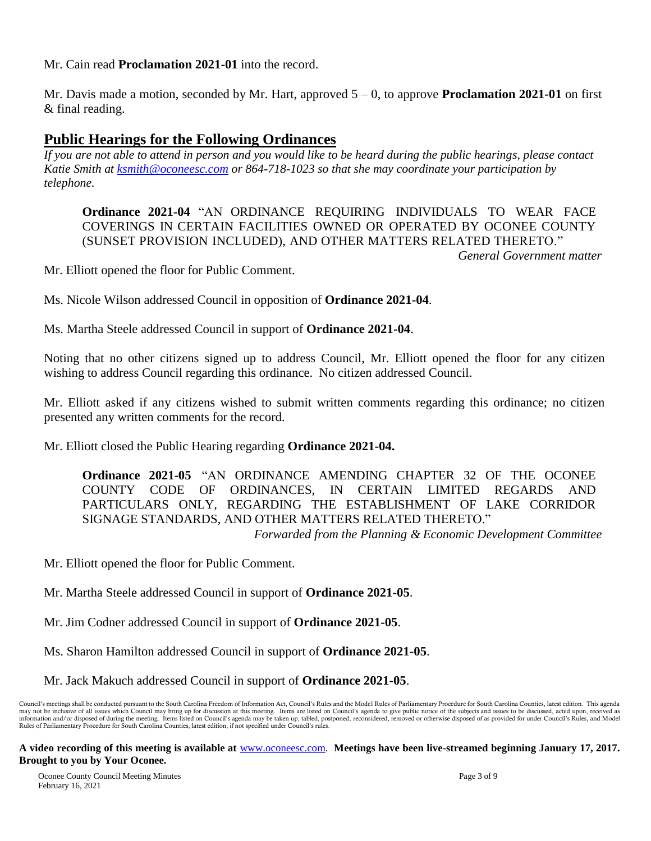Mr. Cain read **Proclamation 2021-01** into the record.

Mr. Davis made a motion, seconded by Mr. Hart, approved 5 – 0, to approve **Proclamation 2021-01** on first & final reading.

# **Public Hearings for the Following Ordinances**

*If you are not able to attend in person and you would like to be heard during the public hearings, please contact Katie Smith at [ksmith@oconeesc.com](mailto:ksmith@oconeesc.com) or 864-718-1023 so that she may coordinate your participation by telephone.*

**Ordinance 2021-04** "AN ORDINANCE REQUIRING INDIVIDUALS TO WEAR FACE COVERINGS IN CERTAIN FACILITIES OWNED OR OPERATED BY OCONEE COUNTY (SUNSET PROVISION INCLUDED), AND OTHER MATTERS RELATED THERETO." *General Government matter*

Mr. Elliott opened the floor for Public Comment.

Ms. Nicole Wilson addressed Council in opposition of **Ordinance 2021-04**.

Ms. Martha Steele addressed Council in support of **Ordinance 2021-04**.

Noting that no other citizens signed up to address Council, Mr. Elliott opened the floor for any citizen wishing to address Council regarding this ordinance. No citizen addressed Council.

Mr. Elliott asked if any citizens wished to submit written comments regarding this ordinance; no citizen presented any written comments for the record.

Mr. Elliott closed the Public Hearing regarding **Ordinance 2021-04.**

**Ordinance 2021-05** "AN ORDINANCE AMENDING CHAPTER 32 OF THE OCONEE COUNTY CODE OF ORDINANCES, IN CERTAIN LIMITED REGARDS AND PARTICULARS ONLY, REGARDING THE ESTABLISHMENT OF LAKE CORRIDOR SIGNAGE STANDARDS, AND OTHER MATTERS RELATED THERETO." *Forwarded from the Planning & Economic Development Committee*

Mr. Elliott opened the floor for Public Comment.

Mr. Martha Steele addressed Council in support of **Ordinance 2021-05**.

Mr. Jim Codner addressed Council in support of **Ordinance 2021-05**.

Ms. Sharon Hamilton addressed Council in support of **Ordinance 2021-05**.

Mr. Jack Makuch addressed Council in support of **Ordinance 2021-05**.

Council's meetings shall be conducted pursuant to the South Carolina Freedom of Information Act, Council's Rules and the Model Rules of Parliamentary Procedure for South Carolina Counties, latest edition. This agenda may not be inclusive of all issues which Council may bring up for discussion at this meeting. Items are listed on Council's agenda to give public notice of the subjects and issues to be discussed, acted upon, received as information and/or disposed of during the meeting. Items listed on Council's agenda may be taken up, tabled, postponed, reconsidered, removed or otherwise disposed of as provided for under Council's Rules, and Model Rules of Parliamentary Procedure for South Carolina Counties, latest edition, if not specified under Council's rules.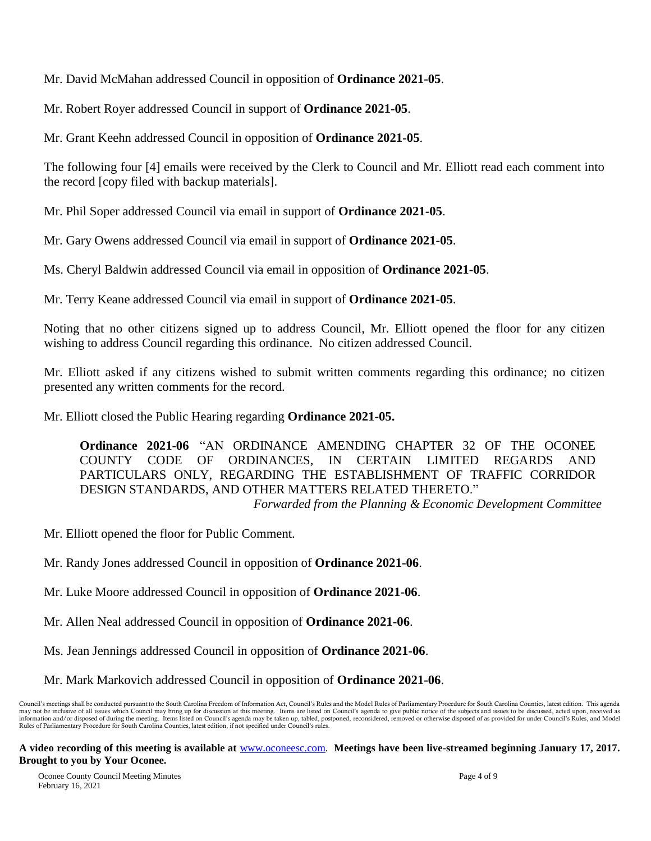Mr. David McMahan addressed Council in opposition of **Ordinance 2021-05**.

Mr. Robert Royer addressed Council in support of **Ordinance 2021-05**.

Mr. Grant Keehn addressed Council in opposition of **Ordinance 2021-05**.

The following four [4] emails were received by the Clerk to Council and Mr. Elliott read each comment into the record [copy filed with backup materials].

Mr. Phil Soper addressed Council via email in support of **Ordinance 2021-05**.

Mr. Gary Owens addressed Council via email in support of **Ordinance 2021-05**.

Ms. Cheryl Baldwin addressed Council via email in opposition of **Ordinance 2021-05**.

Mr. Terry Keane addressed Council via email in support of **Ordinance 2021-05**.

Noting that no other citizens signed up to address Council, Mr. Elliott opened the floor for any citizen wishing to address Council regarding this ordinance. No citizen addressed Council.

Mr. Elliott asked if any citizens wished to submit written comments regarding this ordinance; no citizen presented any written comments for the record.

Mr. Elliott closed the Public Hearing regarding **Ordinance 2021-05.**

**Ordinance 2021-06** "AN ORDINANCE AMENDING CHAPTER 32 OF THE OCONEE COUNTY CODE OF ORDINANCES, IN CERTAIN LIMITED REGARDS AND PARTICULARS ONLY, REGARDING THE ESTABLISHMENT OF TRAFFIC CORRIDOR DESIGN STANDARDS, AND OTHER MATTERS RELATED THERETO."

*Forwarded from the Planning & Economic Development Committee*

Mr. Elliott opened the floor for Public Comment.

Mr. Randy Jones addressed Council in opposition of **Ordinance 2021-06**.

Mr. Luke Moore addressed Council in opposition of **Ordinance 2021-06**.

Mr. Allen Neal addressed Council in opposition of **Ordinance 2021-06**.

Ms. Jean Jennings addressed Council in opposition of **Ordinance 2021-06**.

Mr. Mark Markovich addressed Council in opposition of **Ordinance 2021-06**.

Council's meetings shall be conducted pursuant to the South Carolina Freedom of Information Act, Council's Rules and the Model Rules of Parliamentary Procedure for South Carolina Counties, latest edition. This agenda may not be inclusive of all issues which Council may bring up for discussion at this meeting. Items are listed on Council's agenda to give public notice of the subjects and issues to be discussed, acted upon, received as information and/or disposed of during the meeting. Items listed on Council's agenda may be taken up, tabled, postponed, reconsidered, removed or otherwise disposed of as provided for under Council's Rules, and Model Rules of Parliamentary Procedure for South Carolina Counties, latest edition, if not specified under Council's rules.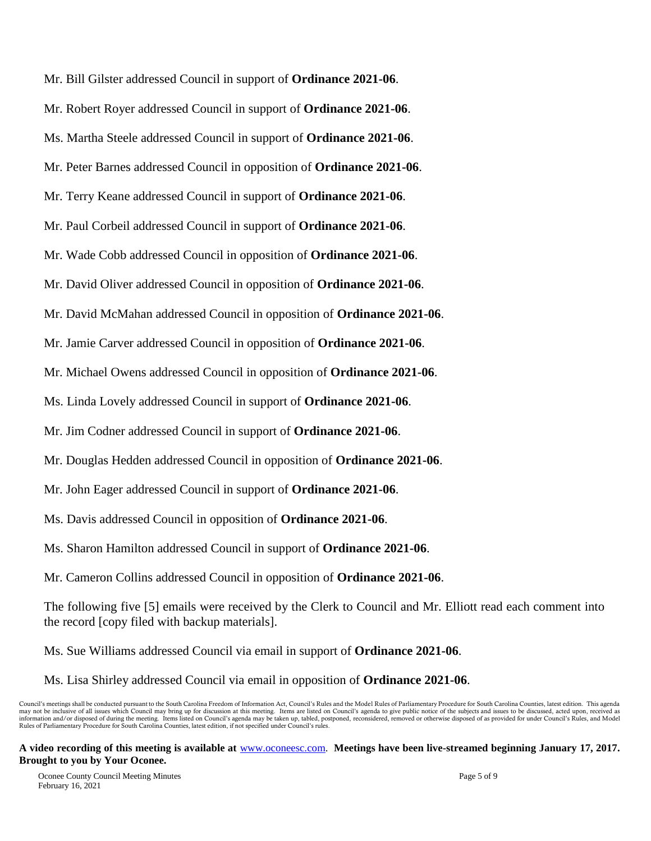Mr. Bill Gilster addressed Council in support of **Ordinance 2021-06**. Mr. Robert Royer addressed Council in support of **Ordinance 2021-06**. Ms. Martha Steele addressed Council in support of **Ordinance 2021-06**. Mr. Peter Barnes addressed Council in opposition of **Ordinance 2021-06**. Mr. Terry Keane addressed Council in support of **Ordinance 2021-06**. Mr. Paul Corbeil addressed Council in support of **Ordinance 2021-06**. Mr. Wade Cobb addressed Council in opposition of **Ordinance 2021-06**. Mr. David Oliver addressed Council in opposition of **Ordinance 2021-06**. Mr. David McMahan addressed Council in opposition of **Ordinance 2021-06**. Mr. Jamie Carver addressed Council in opposition of **Ordinance 2021-06**. Mr. Michael Owens addressed Council in opposition of **Ordinance 2021-06**. Ms. Linda Lovely addressed Council in support of **Ordinance 2021-06**. Mr. Jim Codner addressed Council in support of **Ordinance 2021-06**. Mr. Douglas Hedden addressed Council in opposition of **Ordinance 2021-06**. Mr. John Eager addressed Council in support of **Ordinance 2021-06**. Ms. Davis addressed Council in opposition of **Ordinance 2021-06**. Ms. Sharon Hamilton addressed Council in support of **Ordinance 2021-06**. Mr. Cameron Collins addressed Council in opposition of **Ordinance 2021-06**. The following five [5] emails were received by the Clerk to Council and Mr. Elliott read each comment into the record [copy filed with backup materials]. Ms. Sue Williams addressed Council via email in support of **Ordinance 2021-06**.

Ms. Lisa Shirley addressed Council via email in opposition of **Ordinance 2021-06**.

Council's meetings shall be conducted pursuant to the South Carolina Freedom of Information Act, Council's Rules and the Model Rules of Parliamentary Procedure for South Carolina Counties, latest edition. This agenda may not be inclusive of all issues which Council may bring up for discussion at this meeting. Items are listed on Council's agenda to give public notice of the subjects and issues to be discussed, acted upon, received as information and/or disposed of during the meeting. Items listed on Council's agenda may be taken up, tabled, postponed, reconsidered, removed or otherwise disposed of as provided for under Council's Rules, and Model Rules of Parliamentary Procedure for South Carolina Counties, latest edition, if not specified under Council's rules.

**A video recording of this meeting is available at** [www.oconeesc.com.](http://www.oconeesc.com/) **Meetings have been live-streamed beginning January 17, 2017. Brought to you by Your Oconee.**

Oconee County Council Meeting Minutes Page 5 of 9 February 16, 2021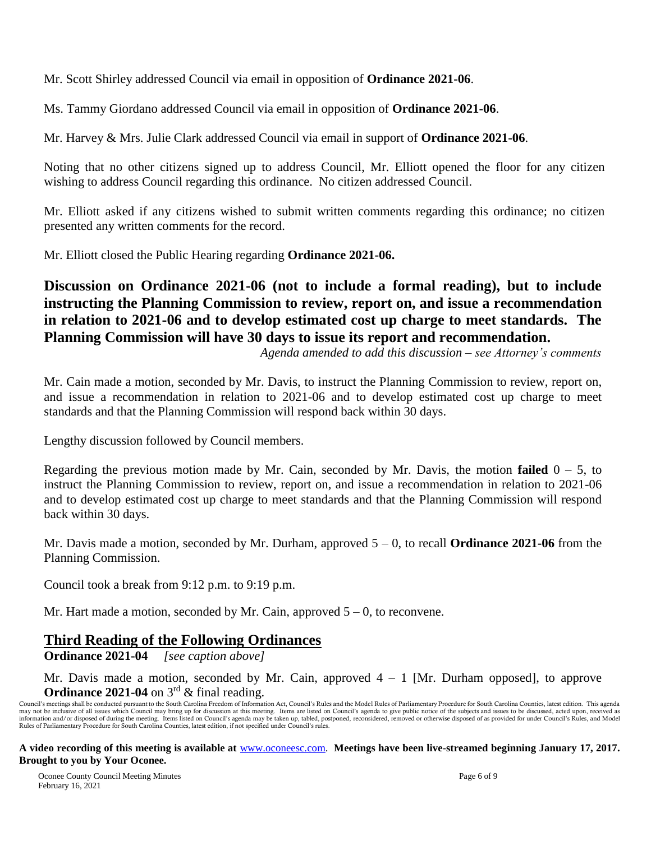Mr. Scott Shirley addressed Council via email in opposition of **Ordinance 2021-06**.

Ms. Tammy Giordano addressed Council via email in opposition of **Ordinance 2021-06**.

Mr. Harvey & Mrs. Julie Clark addressed Council via email in support of **Ordinance 2021-06**.

Noting that no other citizens signed up to address Council, Mr. Elliott opened the floor for any citizen wishing to address Council regarding this ordinance. No citizen addressed Council.

Mr. Elliott asked if any citizens wished to submit written comments regarding this ordinance; no citizen presented any written comments for the record.

Mr. Elliott closed the Public Hearing regarding **Ordinance 2021-06.**

# **Discussion on Ordinance 2021-06 (not to include a formal reading), but to include instructing the Planning Commission to review, report on, and issue a recommendation in relation to 2021-06 and to develop estimated cost up charge to meet standards. The Planning Commission will have 30 days to issue its report and recommendation.**

*Agenda amended to add this discussion – see Attorney's comments*

Mr. Cain made a motion, seconded by Mr. Davis, to instruct the Planning Commission to review, report on, and issue a recommendation in relation to 2021-06 and to develop estimated cost up charge to meet standards and that the Planning Commission will respond back within 30 days.

Lengthy discussion followed by Council members.

Regarding the previous motion made by Mr. Cain, seconded by Mr. Davis, the motion **failed** 0 – 5, to instruct the Planning Commission to review, report on, and issue a recommendation in relation to 2021-06 and to develop estimated cost up charge to meet standards and that the Planning Commission will respond back within 30 days.

Mr. Davis made a motion, seconded by Mr. Durham, approved 5 – 0, to recall **Ordinance 2021-06** from the Planning Commission.

Council took a break from 9:12 p.m. to 9:19 p.m.

Mr. Hart made a motion, seconded by Mr. Cain, approved  $5 - 0$ , to reconvene.

# **Third Reading of the Following Ordinances**

**Ordinance 2021-04** *[see caption above]*

Mr. Davis made a motion, seconded by Mr. Cain, approved  $4 - 1$  [Mr. Durham opposed], to approve **Ordinance 2021-04** on  $3^{rd}$  & final reading.

Council's meetings shall be conducted pursuant to the South Carolina Freedom of Information Act, Council's Rules and the Model Rules of Parliamentary Procedure for South Carolina Counties, latest edition. This agenda may not be inclusive of all issues which Council may bring up for discussion at this meeting. Items are listed on Council's agenda to give public notice of the subjects and issues to be discussed, acted upon, received as<br>i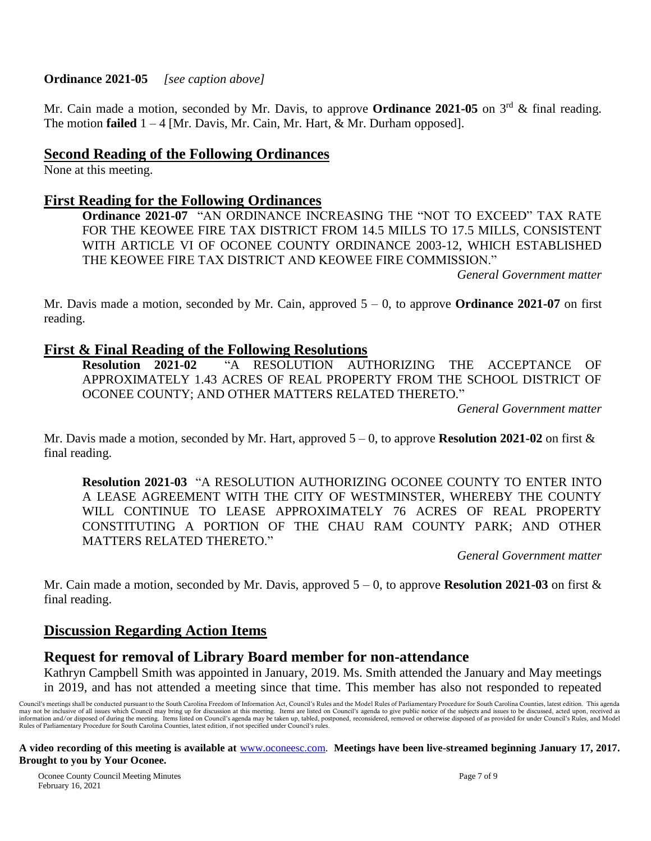#### **Ordinance 2021-05** *[see caption above]*

Mr. Cain made a motion, seconded by Mr. Davis, to approve **Ordinance 2021-05** on 3<sup>rd</sup> & final reading. The motion **failed** 1 – 4 [Mr. Davis, Mr. Cain, Mr. Hart, & Mr. Durham opposed].

## **Second Reading of the Following Ordinances**

None at this meeting.

## **First Reading for the Following Ordinances**

**Ordinance 2021-07** "AN ORDINANCE INCREASING THE "NOT TO EXCEED" TAX RATE FOR THE KEOWEE FIRE TAX DISTRICT FROM 14.5 MILLS TO 17.5 MILLS, CONSISTENT WITH ARTICLE VI OF OCONEE COUNTY ORDINANCE 2003-12, WHICH ESTABLISHED THE KEOWEE FIRE TAX DISTRICT AND KEOWEE FIRE COMMISSION."

*General Government matter*

Mr. Davis made a motion, seconded by Mr. Cain, approved 5 – 0, to approve **Ordinance 2021-07** on first reading.

# **First & Final Reading of the Following Resolutions**<br>Resolution 2021-02 "A RESOLUTION AUT

**Resolution 2021-02** "A RESOLUTION AUTHORIZING THE ACCEPTANCE OF APPROXIMATELY 1.43 ACRES OF REAL PROPERTY FROM THE SCHOOL DISTRICT OF OCONEE COUNTY; AND OTHER MATTERS RELATED THERETO."

*General Government matter*

Mr. Davis made a motion, seconded by Mr. Hart, approved 5 – 0, to approve **Resolution 2021-02** on first & final reading.

**Resolution 2021-03** "A RESOLUTION AUTHORIZING OCONEE COUNTY TO ENTER INTO A LEASE AGREEMENT WITH THE CITY OF WESTMINSTER, WHEREBY THE COUNTY WILL CONTINUE TO LEASE APPROXIMATELY 76 ACRES OF REAL PROPERTY CONSTITUTING A PORTION OF THE CHAU RAM COUNTY PARK; AND OTHER MATTERS RELATED THERETO."

*General Government matter*

Mr. Cain made a motion, seconded by Mr. Davis, approved 5 – 0, to approve **Resolution 2021-03** on first & final reading.

# **Discussion Regarding Action Items**

## **Request for removal of Library Board member for non-attendance**

Kathryn Campbell Smith was appointed in January, 2019. Ms. Smith attended the January and May meetings in 2019, and has not attended a meeting since that time. This member has also not responded to repeated

Council's meetings shall be conducted pursuant to the South Carolina Freedom of Information Act, Council's Rules and the Model Rules of Parliamentary Procedure for South Carolina Counties, latest edition. This agenda may not be inclusive of all issues which Council may bring up for discussion at this meeting. Items are listed on Council's agenda to give public notice of the subjects and issues to be discussed, acted upon, received as i Rules of Parliamentary Procedure for South Carolina Counties, latest edition, if not specified under Council's rules.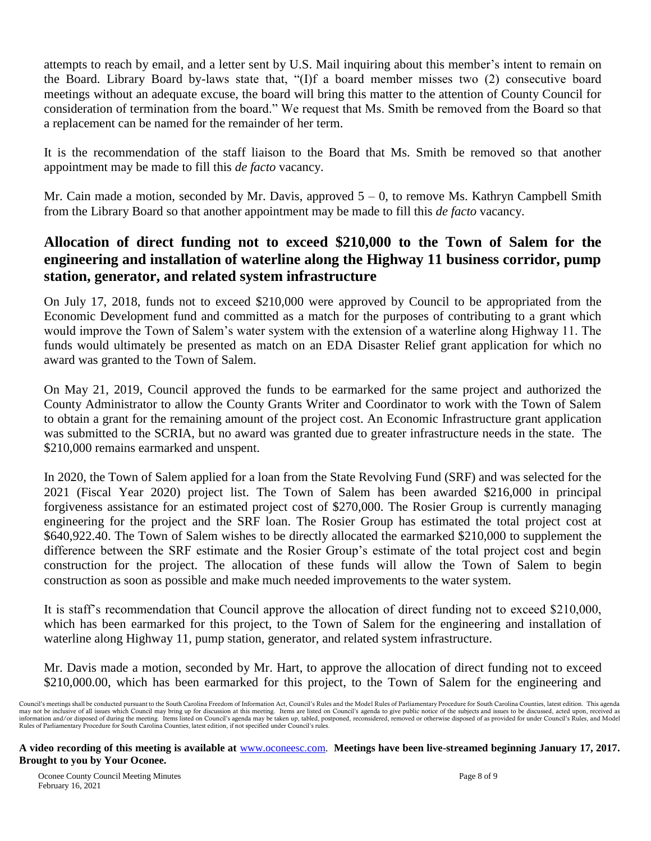attempts to reach by email, and a letter sent by U.S. Mail inquiring about this member's intent to remain on the Board. Library Board by-laws state that, "(I)f a board member misses two (2) consecutive board meetings without an adequate excuse, the board will bring this matter to the attention of County Council for consideration of termination from the board." We request that Ms. Smith be removed from the Board so that a replacement can be named for the remainder of her term.

It is the recommendation of the staff liaison to the Board that Ms. Smith be removed so that another appointment may be made to fill this *de facto* vacancy.

Mr. Cain made a motion, seconded by Mr. Davis, approved  $5 - 0$ , to remove Ms. Kathryn Campbell Smith from the Library Board so that another appointment may be made to fill this *de facto* vacancy.

# **Allocation of direct funding not to exceed \$210,000 to the Town of Salem for the engineering and installation of waterline along the Highway 11 business corridor, pump station, generator, and related system infrastructure**

On July 17, 2018, funds not to exceed \$210,000 were approved by Council to be appropriated from the Economic Development fund and committed as a match for the purposes of contributing to a grant which would improve the Town of Salem's water system with the extension of a waterline along Highway 11. The funds would ultimately be presented as match on an EDA Disaster Relief grant application for which no award was granted to the Town of Salem.

On May 21, 2019, Council approved the funds to be earmarked for the same project and authorized the County Administrator to allow the County Grants Writer and Coordinator to work with the Town of Salem to obtain a grant for the remaining amount of the project cost. An Economic Infrastructure grant application was submitted to the SCRIA, but no award was granted due to greater infrastructure needs in the state. The \$210,000 remains earmarked and unspent.

In 2020, the Town of Salem applied for a loan from the State Revolving Fund (SRF) and was selected for the 2021 (Fiscal Year 2020) project list. The Town of Salem has been awarded \$216,000 in principal forgiveness assistance for an estimated project cost of \$270,000. The Rosier Group is currently managing engineering for the project and the SRF loan. The Rosier Group has estimated the total project cost at \$640,922.40. The Town of Salem wishes to be directly allocated the earmarked \$210,000 to supplement the difference between the SRF estimate and the Rosier Group's estimate of the total project cost and begin construction for the project. The allocation of these funds will allow the Town of Salem to begin construction as soon as possible and make much needed improvements to the water system.

It is staff's recommendation that Council approve the allocation of direct funding not to exceed \$210,000, which has been earmarked for this project, to the Town of Salem for the engineering and installation of waterline along Highway 11, pump station, generator, and related system infrastructure.

Mr. Davis made a motion, seconded by Mr. Hart, to approve the allocation of direct funding not to exceed \$210,000.00, which has been earmarked for this project, to the Town of Salem for the engineering and

Council's meetings shall be conducted pursuant to the South Carolina Freedom of Information Act, Council's Rules and the Model Rules of Parliamentary Procedure for South Carolina Counties, latest edition. This agenda may not be inclusive of all issues which Council may bring up for discussion at this meeting. Items are listed on Council's agenda to give public notice of the subjects and issues to be discussed, acted upon, received as information and/or disposed of during the meeting. Items listed on Council's agenda may be taken up, tabled, postponed, reconsidered, removed or otherwise disposed of as provided for under Council's Rules, and Model Rules of Parliamentary Procedure for South Carolina Counties, latest edition, if not specified under Council's rules.

**A video recording of this meeting is available at** [www.oconeesc.com.](http://www.oconeesc.com/) **Meetings have been live-streamed beginning January 17, 2017. Brought to you by Your Oconee.**